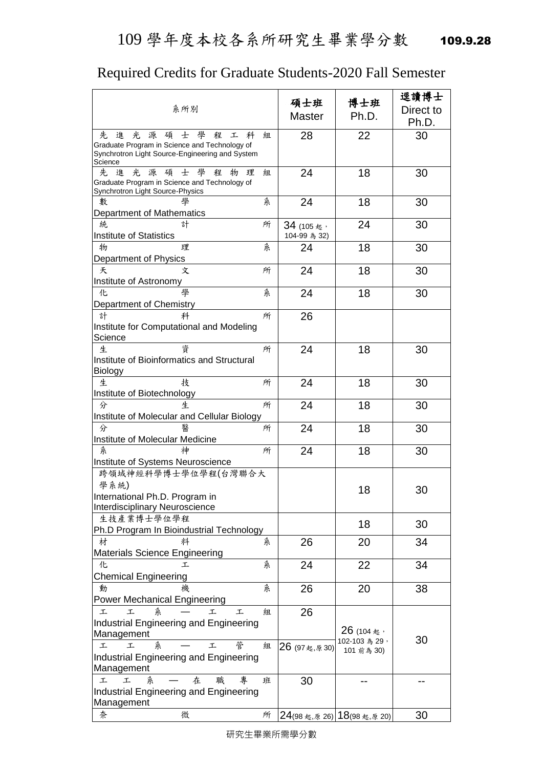## 109 學年度本校各系所研究生畢業學分數 109.9.28

## Required Credits for Graduate Students-2020 Fall Semester

| 系所別                                                                                                                                                        | 碩士班                       | 博士班<br>Ph.D.                             | 逕讀博士<br>Direct to |
|------------------------------------------------------------------------------------------------------------------------------------------------------------|---------------------------|------------------------------------------|-------------------|
|                                                                                                                                                            | <b>Master</b>             |                                          | Ph.D.             |
| 士 學<br>進<br>光<br>源<br>碩<br>程<br>先<br>工<br>科<br>Graduate Program in Science and Technology of<br>Synchrotron Light Source-Engineering and System<br>Science | 28<br>組                   | 22                                       | 30                |
| 先<br>光<br>士<br>學<br>進<br>源<br>碩<br>程<br>物<br>理<br>Graduate Program in Science and Technology of<br>Synchrotron Light Source-Physics                        | 24<br>组                   | 18                                       | 30                |
| 數<br>Department of Mathematics                                                                                                                             | 糸<br>24                   | 18                                       | 30                |
| 所<br>练.<br>計<br><b>Institute of Statistics</b>                                                                                                             | 34 (105起,<br>104-99 為 32) | 24                                       | 30                |
| 糸<br>物<br>理                                                                                                                                                | 24                        | 18                                       | 30                |
| Department of Physics<br>夭<br>所<br>文                                                                                                                       | 24                        | 18                                       | 30                |
| Institute of Astronomy<br>壆                                                                                                                                |                           |                                          |                   |
| 糸<br>化<br>Department of Chemistry                                                                                                                          | 24                        | 18                                       | 30                |
| 計<br>所<br>科<br>Institute for Computational and Modeling<br>Science                                                                                         | 26                        |                                          |                   |
| 資<br>生<br>所<br>Institute of Bioinformatics and Structural<br><b>Biology</b>                                                                                | 24                        | 18                                       | 30                |
| 技<br>生<br>所<br>Institute of Biotechnology                                                                                                                  | 24                        | 18                                       | 30                |
| 生<br>所<br>分<br>Institute of Molecular and Cellular Biology                                                                                                 | 24                        | 18                                       | 30                |
| 醫<br>所<br>分                                                                                                                                                | 24                        | 18                                       | 30                |
| Institute of Molecular Medicine<br>神<br>糸<br>所                                                                                                             | 24                        | 18                                       | 30                |
| Institute of Systems Neuroscience                                                                                                                          |                           |                                          |                   |
| 跨領域神經科學博士學位學程(台灣聯合大<br>學系統)<br>International Ph.D. Program in<br>Interdisciplinary Neuroscience                                                            |                           | 18                                       | 30                |
| 生技產業博士學位學程<br>Ph.D Program In Bioindustrial Technology                                                                                                     |                           | 18                                       | 30                |
| 材<br>料<br>Materials Science Engineering                                                                                                                    | 26<br>糸                   | 20                                       | 34                |
| 化<br>工                                                                                                                                                     | 糸<br>24                   | 22                                       | 34                |
| <b>Chemical Engineering</b><br>動<br>機                                                                                                                      | 糸<br>26                   | 20                                       | 38                |
| <b>Power Mechanical Engineering</b><br>糸<br>工<br>工<br>工<br>工                                                                                               | 26<br>組                   |                                          |                   |
| Industrial Engineering and Engineering<br>Management<br>管<br>糸<br>工<br>工<br>工<br>Industrial Engineering and Engineering<br>Management                      | 組<br>26 (97起,原30)         | 26 (104起,<br>102-103 為 29,<br>101 前為 30) | 30                |
| 專<br>工<br>在<br>職<br>班<br>工<br>糸<br>Industrial Engineering and Engineering<br>Management                                                                    | 30                        |                                          |                   |
| 微<br>奈                                                                                                                                                     | 所                         | 24(98 起,原 26) 18(98 起,原 20)              | 30                |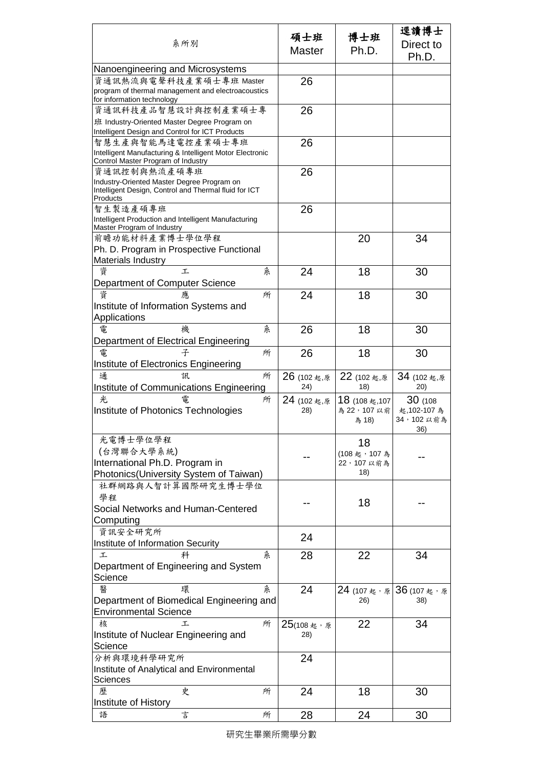| 系所別                                                                                                             |   | 碩士班<br><b>Master</b>        | 博士班<br>Ph.D.                            | 逕讀博士<br>Direct to<br>Ph.D.                 |
|-----------------------------------------------------------------------------------------------------------------|---|-----------------------------|-----------------------------------------|--------------------------------------------|
| Nanoengineering and Microsystems                                                                                |   |                             |                                         |                                            |
| 資通訊熱流與電聲科技產業碩士專班 Master<br>program of thermal management and electroacoustics                                   |   | 26                          |                                         |                                            |
| for information technology<br>資通訊科技產品智慧設計與控制產業碩士專                                                               |   |                             |                                         |                                            |
| 班 Industry-Oriented Master Degree Program on                                                                    |   | 26                          |                                         |                                            |
| Intelligent Design and Control for ICT Products                                                                 |   |                             |                                         |                                            |
| 智慧生產與智能馬達電控產業碩士專班                                                                                               |   | 26                          |                                         |                                            |
| Intelligent Manufacturing & Intelligent Motor Electronic<br>Control Master Program of Industry                  |   |                             |                                         |                                            |
| 資通訊控制與熱流產碩專班                                                                                                    |   | 26                          |                                         |                                            |
| Industry-Oriented Master Degree Program on<br>Intelligent Design, Control and Thermal fluid for ICT<br>Products |   |                             |                                         |                                            |
| 智生製造產碩專班<br>Intelligent Production and Intelligent Manufacturing<br>Master Program of Industry                  |   | 26                          |                                         |                                            |
| 前瞻功能材料產業博士學位學程                                                                                                  |   |                             | 20                                      | 34                                         |
| Ph. D. Program in Prospective Functional                                                                        |   |                             |                                         |                                            |
| Materials Industry                                                                                              |   |                             |                                         |                                            |
| 資<br>T.                                                                                                         | 糸 | 24                          | 18                                      | 30                                         |
| Department of Computer Science                                                                                  |   |                             |                                         |                                            |
| 資                                                                                                               | 所 | 24                          | 18                                      | 30                                         |
| Institute of Information Systems and                                                                            |   |                             |                                         |                                            |
| Applications<br>雷<br>機                                                                                          | 糸 |                             |                                         |                                            |
| Department of Electrical Engineering                                                                            |   | 26                          | 18                                      | 30                                         |
| 電<br>子                                                                                                          | 所 | 26                          | 18                                      | 30                                         |
| Institute of Electronics Engineering                                                                            |   |                             |                                         |                                            |
| 通<br>訊                                                                                                          | 所 | $26(102 \n\equiv 0.55$      | 22 (102起,原                              | 34 (102 起,原                                |
| Institute of Communications Engineering                                                                         |   | 24)                         | 18)                                     | (20)                                       |
| 光<br>雷<br>Institute of Photonics Technologies                                                                   | 所 | 24 (102起,原<br>28)           | 18 (108 起, 107<br>為 22, 107 以前<br>為 18) | 30(108)<br>起,102-107 為<br>34,102以前為<br>36) |
| 光電博士學位學程                                                                                                        |   |                             | 18                                      |                                            |
| (台灣聯合大學系統)                                                                                                      |   |                             | (108起,107為                              |                                            |
| International Ph.D. Program in                                                                                  |   |                             | 22,107以前為                               |                                            |
| Photonics(University System of Taiwan)                                                                          |   |                             | 18)                                     |                                            |
| 社群網路與人智計算國際研究生博士學位                                                                                              |   |                             |                                         |                                            |
| 學程                                                                                                              |   |                             | 18                                      |                                            |
| Social Networks and Human-Centered                                                                              |   |                             |                                         |                                            |
| Computing<br>資訊安全研究所                                                                                            |   |                             |                                         |                                            |
| Institute of Information Security                                                                               |   | 24                          |                                         |                                            |
| 工<br>科                                                                                                          | 条 | 28                          | 22                                      | 34                                         |
| Department of Engineering and System                                                                            |   |                             |                                         |                                            |
| Science                                                                                                         |   |                             |                                         |                                            |
| 醫<br>環                                                                                                          | 系 | 24                          | 24 (107起,原                              | 36 (107起,原                                 |
| Department of Biomedical Engineering and                                                                        |   |                             | 26)                                     | 38)                                        |
| <b>Environmental Science</b>                                                                                    |   |                             |                                         |                                            |
| 核<br>工                                                                                                          | 所 | $25(108 \n\& \n$ , 原<br>28) | 22                                      | 34                                         |
| Institute of Nuclear Engineering and<br>Science                                                                 |   |                             |                                         |                                            |
| 分析與環境科學研究所                                                                                                      |   | 24                          |                                         |                                            |
| Institute of Analytical and Environmental                                                                       |   |                             |                                         |                                            |
| Sciences                                                                                                        |   |                             |                                         |                                            |
| 歷<br>史                                                                                                          | 所 | 24                          | 18                                      | 30                                         |
| Institute of History                                                                                            |   |                             |                                         |                                            |
| 言<br>語                                                                                                          | 所 | 28                          | 24                                      | 30                                         |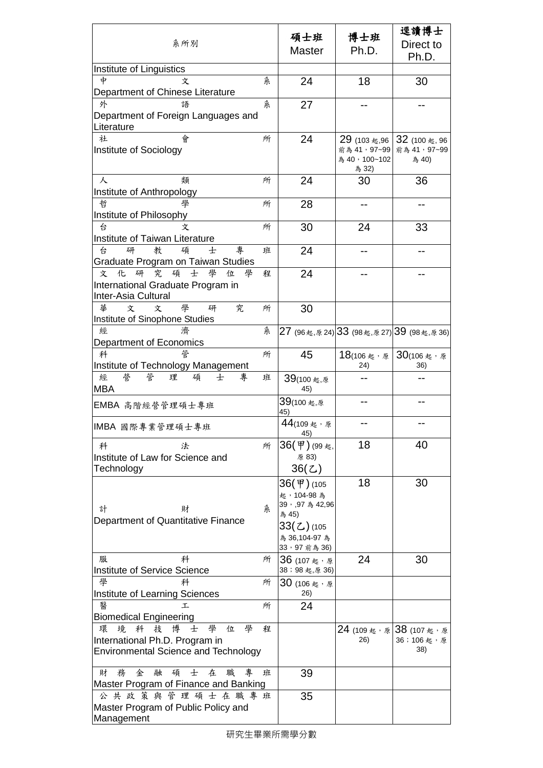| 系所別                                                                                                                        |   | 碩士班                                    | 博士班                          | 逕讀博士<br>Direct to                           |
|----------------------------------------------------------------------------------------------------------------------------|---|----------------------------------------|------------------------------|---------------------------------------------|
|                                                                                                                            |   | <b>Master</b>                          | Ph.D.                        | Ph.D.                                       |
| Institute of Linguistics                                                                                                   |   |                                        |                              |                                             |
| 中<br>文<br>Department of Chinese Literature                                                                                 | 糸 | 24                                     | 18                           | 30                                          |
| 外<br>語                                                                                                                     | 糸 | 27                                     |                              |                                             |
| Department of Foreign Languages and<br>Literature                                                                          |   |                                        |                              |                                             |
| 社<br>會<br>Institute of Sociology                                                                                           | 所 | 24                                     | 29 (103 起,96<br>前為 41, 97~99 | 32 (100 起, 96<br>前為 41, 97~99               |
|                                                                                                                            |   |                                        | 為 40, 100~102<br>為 32)       | 為 40)                                       |
| 類<br>人<br>Institute of Anthropology                                                                                        | 所 | 24                                     | 30                           | 36                                          |
| 哲<br>學<br>Institute of Philosophy                                                                                          | 所 | 28                                     |                              |                                             |
| 台<br>文<br>Institute of Taiwan Literature                                                                                   | 所 | 30                                     | 24                           | 33                                          |
| 專<br>台<br>教<br>碩<br>研<br>士<br>Graduate Program on Taiwan Studies                                                           | 班 | 24                                     |                              |                                             |
| 究<br>碩<br>學<br>研<br>士<br>化<br>位<br>學<br>文                                                                                  | 程 | 24                                     |                              |                                             |
| International Graduate Program in<br>Inter-Asia Cultural                                                                   |   |                                        |                              |                                             |
| 學<br>究<br>華<br>文<br>文<br>研<br>Institute of Sinophone Studies                                                               | 所 | 30                                     |                              |                                             |
| 濟<br>經<br>Department of Economics                                                                                          | 糸 | 27 (96起,原24) 33 (98起,原27) 39 (98起,原36) |                              |                                             |
| 管<br>科<br>Institute of Technology Management                                                                               | 所 | 45                                     | 18(106起,原)<br>24)            | $30(106 \text{ \&} \cdot \text{ \&}$<br>36) |
| 經<br>誉<br>專<br>管<br>理<br>碩<br>士<br><b>MBA</b>                                                                              | 班 | 39(100起,原<br>45)                       |                              |                                             |
| EMBA 高階經營管理碩士專班                                                                                                            |   | 39(100 起,原<br>45)                      |                              |                                             |
| IMBA 國際專業管理碩士專班                                                                                                            |   | 44(109起,原<br>45)                       |                              |                                             |
| 科<br>法                                                                                                                     | 所 | 36(甲)(99起,                             | 18                           | 40                                          |
| Institute of Law for Science and<br>Technology                                                                             |   | 原 83)<br>36(Z)                         |                              |                                             |
|                                                                                                                            |   | 36(甲)(105                              | 18                           | 30                                          |
| 計<br>財                                                                                                                     | 糸 | 起,104-98為<br>39, 97 為 42,96            |                              |                                             |
| Department of Quantitative Finance                                                                                         |   | 為 45)<br>33(乙)(105                     |                              |                                             |
|                                                                                                                            |   | 為 36,104-97 為                          |                              |                                             |
| 服<br>科                                                                                                                     |   | 33, 97 前為 36)                          |                              |                                             |
| Institute of Service Science                                                                                               | 所 | 36 (107起,原<br>38;98起,原36)              | 24                           | 30                                          |
| 學<br>科<br>Institute of Learning Sciences                                                                                   | 所 | $30$ (106 起,原<br>26)                   |                              |                                             |
| 醫<br>τ.                                                                                                                    | 所 | 24                                     |                              |                                             |
| <b>Biomedical Engineering</b>                                                                                              |   |                                        |                              |                                             |
| 學<br>科<br>技<br>博<br>學<br>位<br>環<br>境<br>士<br>International Ph.D. Program in<br><b>Environmental Science and Technology</b> | 程 |                                        | 24 (109起,原38 (107起,原<br>26)  | 36;106起,原<br>38)                            |
|                                                                                                                            |   |                                        |                              |                                             |
| 務<br>金<br>碩<br>士<br>在<br>職<br>財<br>融<br>專<br>Master Program of Finance and Banking                                         | 班 | 39                                     |                              |                                             |
| 公共政策與管理碩士在職專班                                                                                                              |   | 35                                     |                              |                                             |
| Master Program of Public Policy and<br>Management                                                                          |   |                                        |                              |                                             |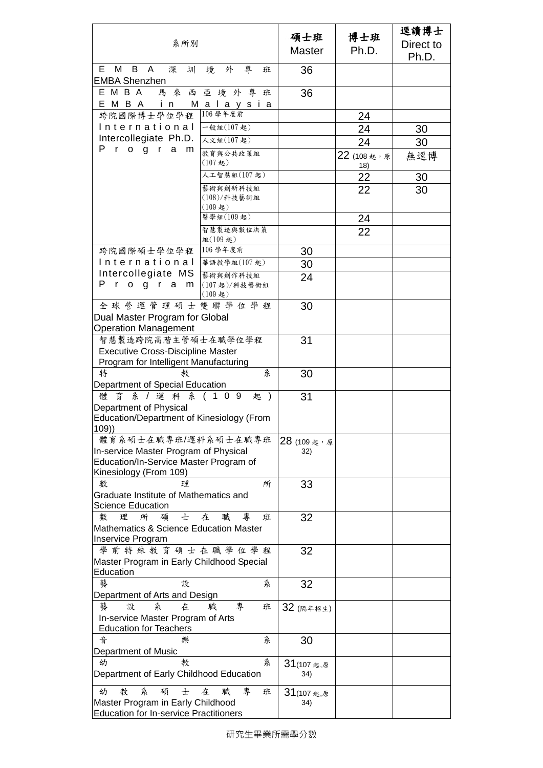|                                                                            |                               |               |                       | 逕讀博士      |
|----------------------------------------------------------------------------|-------------------------------|---------------|-----------------------|-----------|
| 系所別                                                                        |                               | 碩士班           | 博士班                   | Direct to |
|                                                                            |                               | <b>Master</b> | Ph.D.                 | Ph.D.     |
| M<br>E.<br>B<br>A<br>深<br>圳                                                | 外<br>專<br>境<br>班              | 36            |                       |           |
| <b>EMBA Shenzhen</b>                                                       |                               |               |                       |           |
| E M B A                                                                    | 馬來西亞境外專<br>班                  | 36            |                       |           |
| EMBA in Malaysia                                                           |                               |               |                       |           |
| 跨院國際博士學位學程                                                                 | 106 學年度前                      |               | 24                    |           |
| International                                                              | 一般組(107起)                     |               | 24                    | 30        |
| Intercollegiate Ph.D.<br>Progra<br>m                                       | 人文組(107起)                     |               | 24                    | 30        |
|                                                                            | 教育與公共政策組<br>$(107$ 起)         |               | $22(108)$ 想, 原<br>18) | 無逕博       |
|                                                                            | 人工智慧組(107起)                   |               | 22                    | 30        |
|                                                                            | 藝術與創新科技組                      |               | 22                    | 30        |
|                                                                            | (108)/科技藝術組                   |               |                       |           |
|                                                                            | $(109 \t{)}$<br>醫學組(109起)     |               |                       |           |
|                                                                            | 智慧製造與數位決策                     |               | 24                    |           |
|                                                                            | 組(109起)                       |               | 22                    |           |
| 跨院國際碩士學位學程                                                                 | 106 學年度前                      | 30            |                       |           |
| International                                                              | 華語教學組(107起)                   | 30            |                       |           |
| Intercollegiate MS                                                         | 藝術與創作科技組                      | 24            |                       |           |
| P.<br>rogram                                                               | (107起)/科技藝術組<br>$(109 \t{1})$ |               |                       |           |
| 全球營運管理碩士雙聯學位學程                                                             |                               | 30            |                       |           |
| Dual Master Program for Global                                             |                               |               |                       |           |
| <b>Operation Management</b>                                                |                               |               |                       |           |
| 智慧製造跨院高階主管碩士在職學位學程                                                         |                               | 31            |                       |           |
| <b>Executive Cross-Discipline Master</b>                                   |                               |               |                       |           |
| Program for Intelligent Manufacturing                                      |                               |               |                       |           |
| 特<br>教<br>Department of Special Education                                  | 糸                             | 30            |                       |           |
| 系 / 運 科 系 ( 1 0 9<br>體<br>育                                                | 起 )                           | 31            |                       |           |
| Department of Physical                                                     |                               |               |                       |           |
| Education/Department of Kinesiology (From                                  |                               |               |                       |           |
| 109)                                                                       |                               |               |                       |           |
| 體育系碩士在職專班/運科系碩士在職專班                                                        |                               | 28 (109起,原    |                       |           |
| In-service Master Program of Physical                                      |                               | 32)           |                       |           |
| Education/In-Service Master Program of                                     |                               |               |                       |           |
| Kinesiology (From 109)                                                     |                               |               |                       |           |
| 數<br>理                                                                     | 所                             | 33            |                       |           |
| Graduate Institute of Mathematics and                                      |                               |               |                       |           |
| <b>Science Education</b>                                                   | 專                             |               |                       |           |
| 數<br>理<br>所<br>士<br>碩<br><b>Mathematics &amp; Science Education Master</b> | 在<br>職<br>班                   | 32            |                       |           |
| Inservice Program                                                          |                               |               |                       |           |
| 學前特殊教育碩士在職學位學程                                                             |                               | 32            |                       |           |
| Master Program in Early Childhood Special                                  |                               |               |                       |           |
| Education                                                                  |                               |               |                       |           |
| 藝<br>設                                                                     | 糸                             | 32            |                       |           |
| Department of Arts and Design                                              |                               |               |                       |           |
| 糸<br>藝<br>設<br>在                                                           | 職<br>專<br>班                   | 32 (隔年招生)     |                       |           |
| In-service Master Program of Arts                                          |                               |               |                       |           |
| <b>Education for Teachers</b>                                              |                               |               |                       |           |
| 흡<br>樂                                                                     | 糸                             | 30            |                       |           |
| Department of Music                                                        |                               |               |                       |           |
| 教<br>幼                                                                     | 糸                             | 31(107起,原     |                       |           |
| Department of Early Childhood Education                                    |                               | 34)           |                       |           |
| 糸<br>幼<br>教<br>士<br>碩                                                      | 專<br>在<br>職<br>班              | 31(107起,原     |                       |           |
| Master Program in Early Childhood                                          |                               | 34)           |                       |           |
| <b>Education for In-service Practitioners</b>                              |                               |               |                       |           |